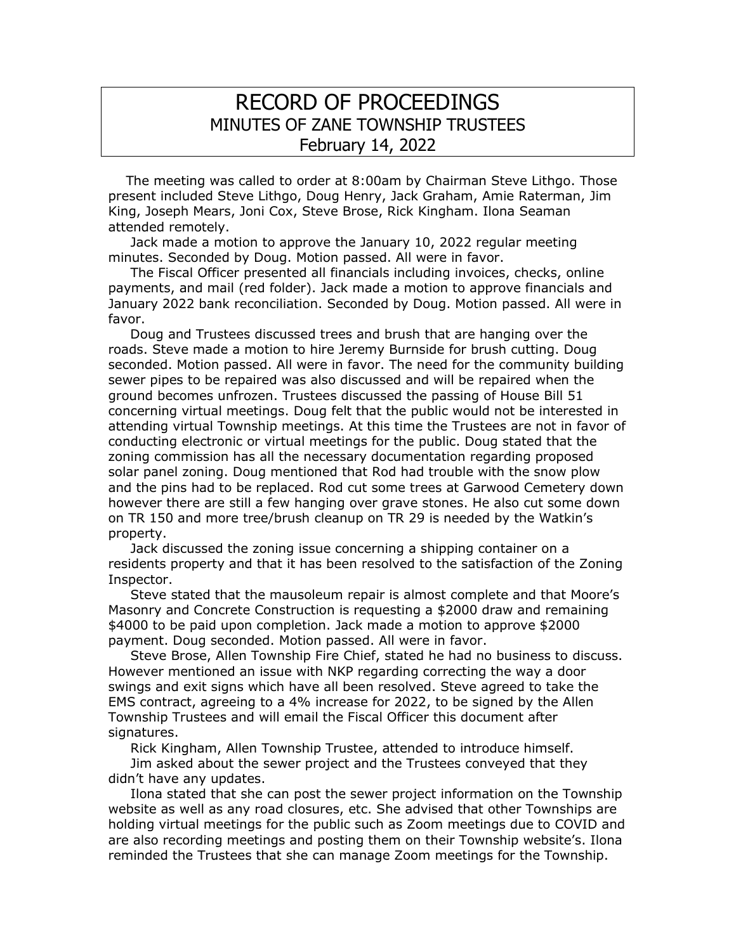## RECORD OF PROCEEDINGS MINUTES OF ZANE TOWNSHIP TRUSTEES February 14, 2022

 The meeting was called to order at 8:00am by Chairman Steve Lithgo. Those present included Steve Lithgo, Doug Henry, Jack Graham, Amie Raterman, Jim King, Joseph Mears, Joni Cox, Steve Brose, Rick Kingham. Ilona Seaman attended remotely.

 Jack made a motion to approve the January 10, 2022 regular meeting minutes. Seconded by Doug. Motion passed. All were in favor.

 The Fiscal Officer presented all financials including invoices, checks, online payments, and mail (red folder). Jack made a motion to approve financials and January 2022 bank reconciliation. Seconded by Doug. Motion passed. All were in favor.

 Doug and Trustees discussed trees and brush that are hanging over the roads. Steve made a motion to hire Jeremy Burnside for brush cutting. Doug seconded. Motion passed. All were in favor. The need for the community building sewer pipes to be repaired was also discussed and will be repaired when the ground becomes unfrozen. Trustees discussed the passing of House Bill 51 concerning virtual meetings. Doug felt that the public would not be interested in attending virtual Township meetings. At this time the Trustees are not in favor of conducting electronic or virtual meetings for the public. Doug stated that the zoning commission has all the necessary documentation regarding proposed solar panel zoning. Doug mentioned that Rod had trouble with the snow plow and the pins had to be replaced. Rod cut some trees at Garwood Cemetery down however there are still a few hanging over grave stones. He also cut some down on TR 150 and more tree/brush cleanup on TR 29 is needed by the Watkin's property.

 Jack discussed the zoning issue concerning a shipping container on a residents property and that it has been resolved to the satisfaction of the Zoning Inspector.

 Steve stated that the mausoleum repair is almost complete and that Moore's Masonry and Concrete Construction is requesting a \$2000 draw and remaining \$4000 to be paid upon completion. Jack made a motion to approve \$2000 payment. Doug seconded. Motion passed. All were in favor.

 Steve Brose, Allen Township Fire Chief, stated he had no business to discuss. However mentioned an issue with NKP regarding correcting the way a door swings and exit signs which have all been resolved. Steve agreed to take the EMS contract, agreeing to a 4% increase for 2022, to be signed by the Allen Township Trustees and will email the Fiscal Officer this document after signatures.

 Rick Kingham, Allen Township Trustee, attended to introduce himself. Jim asked about the sewer project and the Trustees conveyed that they didn't have any updates.

 Ilona stated that she can post the sewer project information on the Township website as well as any road closures, etc. She advised that other Townships are holding virtual meetings for the public such as Zoom meetings due to COVID and are also recording meetings and posting them on their Township website's. Ilona reminded the Trustees that she can manage Zoom meetings for the Township.